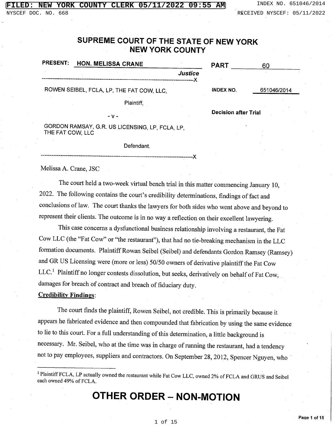## SUPREME COURT OF THE STATE OF NEW YORK **NEW YORK COUNTY**

| <b>PRESENT:</b>                           |  | HON. MELISSA CRANE                              |                             | <b>PART</b>      | 60          |
|-------------------------------------------|--|-------------------------------------------------|-----------------------------|------------------|-------------|
|                                           |  |                                                 | <b>Justice</b>              |                  |             |
| ROWEN SEIBEL, FCLA, LP, THE FAT COW, LLC, |  |                                                 |                             | <b>INDEX NO.</b> | 651046/2014 |
|                                           |  | Plaintiff,                                      |                             |                  |             |
| – v –                                     |  |                                                 | <b>Decision after Trial</b> |                  |             |
| THE FAT COW, LLC                          |  | GORDON RAMSAY, G.R. US LICENSING, LP, FCLA, LP, |                             |                  |             |
|                                           |  | Defendant.                                      |                             |                  |             |

Melissa A. Crane, JSC

The court held a two-week virtual bench trial in this matter commencing January 10, 2022. The following contains the court's credibility determinations, findings of fact and conclusions of law. The court thanks the lawyers for both sides who went above and beyond to represent their clients. The outcome is in no way a reflection on their excellent lawyering.

This case concerns a dysfunctional business relationship involving a restaurant, the Fat Cow LLC (the "Fat Cow" or "the restaurant"), that had no tie-breaking mechanism in the LLC formation documents. Plaintiff Rowan Seibel (Seibel) and defendants Gordon Ramsey (Ramsey) and GR US Licensing were (more or less) 50/50 owners of derivative plaintiff the Fat Cow LLC.<sup>1</sup> Plaintiff no longer contests dissolution, but seeks, derivatively on behalf of Fat Cow, damages for breach of contract and breach of fiduciary duty.

#### **Credibility Findings:**

The court finds the plaintiff, Rowen Seibel, not credible. This is primarily because it appears he fabricated evidence and then compounded that fabrication by using the same evidence to lie to this court. For a full understanding of this determination, a little background is necessary. Mr. Seibel, who at the time was in charge of running the restaurant, had a tendency not to pay employees, suppliers and contractors. On September 28, 2012, Spencer Nguyen, who

# OTHER ORDER - NON-MOTION

<sup>&</sup>lt;sup>1</sup> Plaintiff FCLA, LP actually owned the restaurant while Fat Cow LLC, owned 2% of FCLA and GRUS and Seibel each owned 49% of FCLA.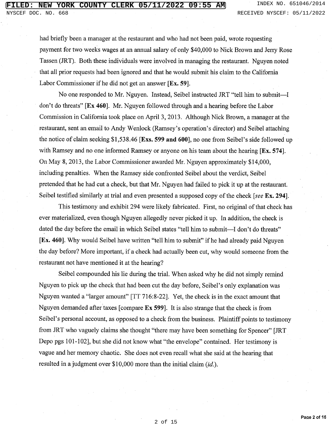had briefly been a manager at the restaurant and who had not been paid, wrote requesting payment for two weeks wages at an annual salary of only \$40,000 to Nick Brown and Jerry Rose Tassen (JRT). Both these individuals were involved in managing the restaurant. Nguyen noted that all prior requests had been ignored and that he would submit his claim to the California Labor Commissioner if he did not get an answer [Ex. 59].

No one responded to Mr. Nguyen. Instead, Seibel instructed JRT "tell him to submit—I don't do threats" [Ex 460]. Mr. Nguyen followed through and a hearing before the Labor Commission in California took place on April 3, 2013. Although Nick Brown, a manager at the restaurant, sent an email to Andy Wenlock (Ramsey's operation's director) and Seibel attaching the notice of claim seeking \$1,538.46 [Exs. 599 and 600], no one from Seibel's side followed up with Ramsey and no one informed Ramsey or anyone on his team about the hearing [Ex. 574]. On May 8, 2013, the Labor Commissioner awarded Mr. Nguyen approximately \$14,000, including penalties. When the Ramsey side confronted Seibel about the verdict, Seibel pretended that he had cut a check, but that Mr. Nguyen had failed to pick it up at the restaurant. Seibel testified similarly at trial and even presented a supposed copy of the check [see Ex. 294].

This testimony and exhibit 294 were likely fabricated. First, no original of that check has ever materialized, even though Nguyen allegedly never picked it up. In addition, the check is dated the day before the email in which Seibel states "tell him to submit—I don't do threats" [Ex. 460]. Why would Seibel have written "tell him to submit" if he had already paid Nguyen the day before? More important, if a check had actually been cut, why would someone from the restaurant not have mentioned it at the hearing?

Seibel compounded his lie during the trial. When asked why he did not simply remind Nguyen to pick up the check that had been cut the day before, Seibel's only explanation was Nguyen wanted a "larger amount" [TT 716:8-22]. Yet, the check is in the exact amount that Nguyen demanded after taxes [compare Ex 599]. It is also strange that the check is from Seibel's personal account, as opposed to a check from the business. Plaintiff points to testimony from JRT who vaguely claims she thought "there may have been something for Spencer" [JRT] Depo pgs 101-102], but she did not know what "the envelope" contained. Her testimony is vague and her memory chaotic. She does not even recall what she said at the hearing that resulted in a judgment over \$10,000 more than the initial claim *(id.)*.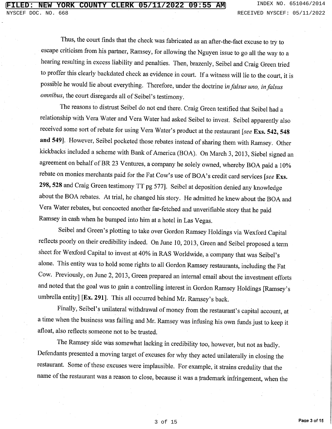Thus, the court finds that the check was fabricated as an after-the-fact excuse to try to escape criticism from his partner, Ramsey, for allowing the Nguyen issue to go all the way to a hearing resulting in excess liability and penalties. Then, brazenly, Seibel and Craig Green tried to proffer this clearly backdated check as evidence in court. If a witness will lie to the court, it is possible he would lie about everything. Therefore, under the doctrine in falsus uno, in falsus omnibus, the court disregards all of Seibel's testimony.

The reasons to distrust Seibel do not end there. Craig Green testified that Seibel had a relationship with Vera Water and Vera Water had asked Seibel to invest. Seibel apparently also received some sort of rebate for using Vera Water's product at the restaurant [see Exs. 542, 548 and 549]. However, Seibel pocketed those rebates instead of sharing them with Ramsey. Other kickbacks included a scheme with Bank of America (BOA). On March 3, 2013, Siebel signed an agreement on behalf of BR 23 Ventures, a company he solely owned, whereby BOA paid a 10% rebate on monies merchants paid for the Fat Cow's use of BOA's credit card services [see Exs. 298, 528 and Craig Green testimony TT pg 577]. Seibel at deposition denied any knowledge about the BOA rebates. At trial, he changed his story. He admitted he knew about the BOA and Vera Water rebates, but concocted another far-fetched and unverifiable story that he paid Ramsey in cash when he bumped into him at a hotel in Las Vegas.

Seibel and Green's plotting to take over Gordon Ramsey Holdings via Wexford Capital reflects poorly on their credibility indeed. On June 10, 2013, Green and Seibel proposed a term sheet for Wexford Capital to invest at 40% in RAS Worldwide, a company that was Seibel's alone. This entity was to hold some rights to all Gordon Ramsey restaurants, including the Fat Cow. Previously, on June 2, 2013, Green prepared an internal email about the investment efforts and noted that the goal was to gain a controlling interest in Gordon Ramsey Holdings [Ramsey's umbrella entity] [Ex. 291]. This all occurred behind Mr. Ramsey's back.

Finally, Seibel's unilateral withdrawal of money from the restaurant's capital account, at a time when the business was failing and Mr. Ramsey was infusing his own funds just to keep it afloat, also reflects someone not to be trusted.

The Ramsey side was somewhat lacking in credibility too, however, but not as badly. Defendants presented a moving target of excuses for why they acted unilaterally in closing the restaurant. Some of these excuses were implausible. For example, it strains credulity that the name of the restaurant was a reason to close, because it was a trademark infringement, when the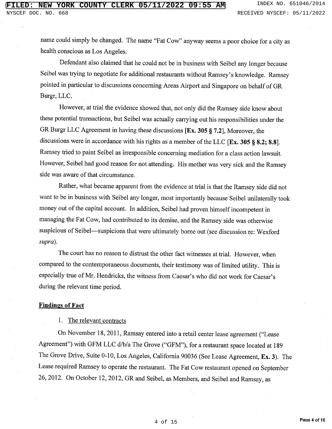name could simply be changed. The name "Fat Cow" anyway seems a poor choice for a city as health conscious as Los Angeles.

Defendant also claimed that he could not be in business with Seibel any longer because Seibel was trying to negotiate for additional restaurants without Ramsey's knowledge. Ramsey pointed in particular to discussions concerning Areas Airport and Singapore on behalf of GR Burgr, LLC.

However, at trial the evidence showed that, not only did the Ramsey side know about these potential transactions, but Seibel was actually carrying out his responsibilities under the GR Burgr LLC Agreement in having these discussions [Ex. 305 § 7.2], Moreover, the discussions were in accordance with his rights as a member of the LLC [Ex. 305 § 8.2; 8.8]. Ramsey tried to paint Seibel as irresponsible concerning mediation for a class action lawsuit. However, Seibel had good reason for not attending. His mother was very sick and the Ramsey side was aware of that circumstance.

Rather, what became apparent from the evidence at trial is that the Ramsey side did not want to be in business with Seibel any longer, most importantly because Seibel unilaterally took money out of the capital account. In addition, Seibel had proven himself incompetent in managing the Fat Cow, had contributed to its demise, and the Ramsey side was otherwise suspicious of Seibel-suspicions that were ultimately borne out (see discussion re: Wexford supra).

The court has no reason to distrust the other fact witnesses at trial. However, when compared to the contemporaneous documents, their testimony was of limited utility. This is especially true of Mr. Hendricks, the witness from Caesar's who did not work for Caesar's during the relevant time period.

#### **Findings of Fact**

1. The relevant contracts

On November 18, 2011, Ramsay entered into a retail center lease agreement ("Lease Agreement") with GFM LLC d/b/a The Grove ("GFM"), for a restaurant space located at 189 The Grove Drive, Suite 0-10, Los Angeles, California 90036 (See Lease Agreement, Ex. 3). The Lease required Ramsey to operate the restaurant. The Fat Cow restaurant opened on September 26, 2012. On October 12, 2012, GR and Seibel, as Members, and Seibel and Ramsay, as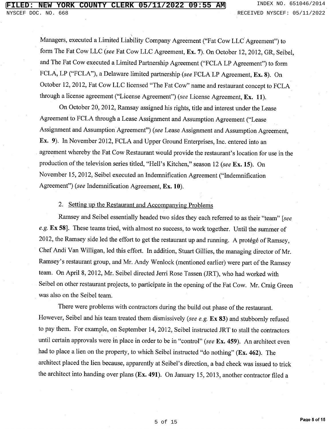Managers, executed a Limited Liability Company Agreement ("Fat Cow LLC Agreement") to form The Fat Cow LLC (see Fat Cow LLC Agreement, Ex. 7). On October 12, 2012, GR, Seibel, and The Fat Cow executed a Limited Partnership Agreement ("FCLA LP Agreement") to form FCLA, LP ("FCLA"), a Delaware limited partnership (see FCLA LP Agreement, Ex. 8). On October 12, 2012, Fat Cow LLC licensed "The Fat Cow" name and restaurant concept to FCLA through a license agreement ("License Agreement") (see License Agreement, Ex. 11).

On October 20, 2012, Ramsay assigned his rights, title and interest under the Lease Agreement to FCLA through a Lease Assignment and Assumption Agreement ("Lease Assignment and Assumption Agreement") (see Lease Assignment and Assumption Agreement, Ex. 9). In November 2012, FCLA and Upper Ground Enterprises, Inc. entered into an agreement whereby the Fat Cow Restaurant would provide the restaurant's location for use in the production of the television series titled, "Hell's Kitchen," season 12 (see Ex. 15). On November 15, 2012, Seibel executed an Indemnification Agreement ("Indemnification Agreement") (see Indemnification Agreement, Ex. 10).

#### 2. Setting up the Restaurant and Accompanying Problems

Ramsey and Seibel essentially headed two sides they each referred to as their "team" [see e.g. Ex 58]. These teams tried, with almost no success, to work together. Until the summer of 2012, the Ramsey side led the effort to get the restaurant up and running. A protégé of Ramsey, Chef Andi Van Willigan, led this effort. In addition, Stuart Gillies, the managing director of Mr. Ramsey's restaurant group, and Mr. Andy Wenlock (mentioned earlier) were part of the Ramsey team. On April 8, 2012, Mr. Seibel directed Jerri Rose Tassen (JRT), who had worked with Seibel on other restaurant projects, to participate in the opening of the Fat Cow. Mr. Craig Green was also on the Seibel team.

There were problems with contractors during the build out phase of the restaurant. However, Seibel and his team treated them dismissively (see e.g. Ex 83) and stubbornly refused to pay them. For example, on September 14, 2012, Seibel instructed JRT to stall the contractors until certain approvals were in place in order to be in "control" (see Ex. 459). An architect even had to place a lien on the property, to which Seibel instructed "do nothing" (Ex. 462). The architect placed the lien because, apparently at Seibel's direction, a bad check was issued to trick the architect into handing over plans (Ex. 491). On January 15, 2013, another contractor filed a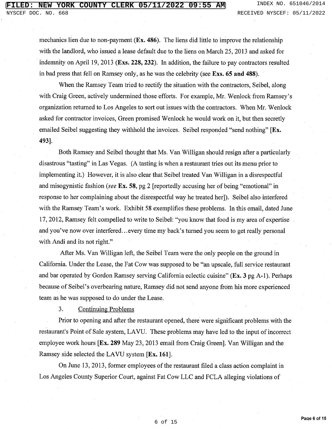mechanics lien due to non-payment  $(Ex. 486)$ . The liens did little to improve the relationship with the landlord, who issued a lease default due to the liens on March 25, 2013 and asked for indemnity on April 19, 2013 (Exs. 228, 232). In addition, the failure to pay contractors resulted in bad press that fell on Ramsey only, as he was the celebrity (see Exs. 65 and 488).

When the Ramsey Team tried to rectify the situation with the contractors, Seibel, along with Craig Green, actively undermined those efforts. For example, Mr. Wenlock from Ramsey's organization returned to Los Angeles to sort out issues with the contractors. When Mr. Wenlock asked for contractor invoices, Green promised Wenlock he would work on it, but then secretly emailed Seibel suggesting they withhold the invoices. Seibel responded "send nothing" [Ex. 493].

Both Ramsey and Seibel thought that Ms. Van Willigan should resign after a particularly disastrous "tasting" in Las Vegas. (A tasting is when a restaurant tries out its menu prior to implementing it.) However, it is also clear that Seibel treated Van Willigan in a disrespectful and misogynistic fashion (see Ex. 58, pg 2 [reportedly accusing her of being "emotional" in response to her complaining about the disrespectful way he treated her]). Seibel also interfered with the Ramsey Team's work. Exhibit 58 exemplifies these problems. In this email, dated June 17, 2012, Ramsey felt compelled to write to Seibel: "you know that food is my area of expertise and you've now over interfered...every time my back's turned you seem to get really personal with Andi and its not right."

After Ms. Van Willigan left, the Seibel Team were the only people on the ground in California. Under the Lease, the Fat Cow was supposed to be "an upscale, full service restaurant and bar operated by Gordon Ramsey serving California eclectic cuisine" (Ex. 3 pg A-1). Perhaps because of Seibel's overbearing nature, Ramsey did not send anyone from his more experienced team as he was supposed to do under the Lease.

3. **Continuing Problems** 

Prior to opening and after the restaurant opened, there were significant problems with the restaurant's Point of Sale system, LAVU. These problems may have led to the input of incorrect employee work hours [Ex. 289 May 23, 2013 email from Craig Green]. Van Willigan and the Ramsey side selected the LAVU system [Ex. 161].

On June 13, 2013, former employees of the restaurant filed a class action complaint in Los Angeles County Superior Court, against Fat Cow LLC and FCLA alleging violations of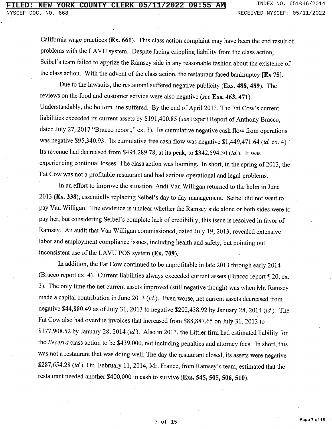California wage practices (Ex. 661). This class action complaint may have been the end result of problems with the LAVU system. Despite facing crippling liability from the class action, Seibel's team failed to apprize the Ramsey side in any reasonable fashion about the existence of the class action. With the advent of the class action, the restaurant faced bankruptcy  $[Ex 75]$ .

Due to the lawsuits, the restaurant suffered negative publicity (Exs. 488, 489). The reviews on the food and customer service were also negative (see Exs. 463, 471). Understandably, the bottom line suffered. By the end of April 2013, The Fat Cow's current liabilities exceeded its current assets by \$191,400.85 (see Expert Report of Anthony Bracco, dated July 27, 2017 "Bracco report," ex. 3). Its cumulative negative cash flow from operations was negative \$95,340.93. Its cumulative free cash flow was negative \$1,449,471.64 (id. ex. 4). Its revenue had decreased from \$494,289.78, at its peak, to \$342,594.30 (id.). It was experiencing continual losses. The class action was looming. In short, in the spring of 2013, the Fat Cow was not a profitable restaurant and had serious operational and legal problems.

In an effort to improve the situation, Andi Van Willigan returned to the helm in June 2013 (Ex. 338), essentially replacing Seibel's day to day management. Seibel did not want to pay Van Willigan. The evidence is unclear whether the Ramsey side alone or both sides were to pay her, but considering Seibel's complete lack of credibility, this issue is resolved in favor of Ramsey. An audit that Van Willigan commissioned, dated July 19, 2013, revealed extensive labor and employment compliance issues, including health and safety, but pointing out inconsistent use of the LAVU POS system (Ex. 709).

In addition, the Fat Cow continued to be unprofitable in late 2013 through early 2014 (Bracco report ex. 4). Current liabilities always exceeded current assets (Bracco report 120, ex. 3). The only time the net current assets improved (still negative though) was when Mr. Ramsey made a capital contribution in June 2013 (id.). Even worse, net current assets decreased from negative \$44,880.49 as of July 31, 2013 to negative \$202,438.92 by January 28, 2014 (id.). The Fat Cow also had overdue invoices that increased from \$88,887.65 on July 31, 2013 to \$177,908.52 by January 28, 2014 (id.). Also in 2013, the Littler firm had estimated liability for the Becerra class action to be \$439,000, not including penalties and attorney fees. In short, this was not a restaurant that was doing well. The day the restaurant closed, its assets were negative \$287,654.28 (id.). On February 11, 2014, Mr. France, from Ramsey's team, estimated that the restaurant needed another \$400,000 in cash to survive (Exs. 545, 505, 506, 510).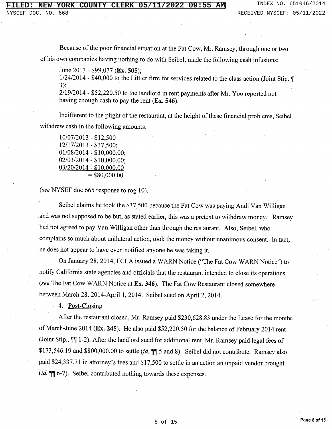Because of the poor financial situation at the Fat Cow, Mr. Ramsey, through one or two of his own companies having nothing to do with Seibel, made the following cash infusions:

June 2013 - \$99,077 (Ex. 505):

1/24/2014 - \$40,000 to the Littler firm for services related to the class action (Joint Stip. ¶  $3);$ 

 $2/19/2014$  - \$52,220.50 to the landlord in rent payments after Mr. Yoo reported not having enough cash to pay the rent  $(Ex. 546)$ .

Indifferent to the plight of the restaurant, at the height of these financial problems, Seibel withdrew cash in the following amounts:

 $10/07/2013 - $12,500$ 12/17/2013 - \$37,500;  $01/08/2014 - $10,000.00;$  $02/03/2014 - $10,000.00;$ 03/20/2014 - \$10,000.00  $=$  \$80,000.00

(see NYSEF doc 665 response to rog 10).

Seibel claims he took the \$37,500 because the Fat Cow was paying Andi Van Willigan and was not supposed to be but, as stated earlier, this was a pretext to withdraw money. Ramsey had not agreed to pay Van Willigan other than through the restaurant. Also, Seibel, who complains so much about unilateral action, took the money without unanimous consent. In fact, he does not appear to have even notified anyone he was taking it.

On January 28, 2014, FCLA issued a WARN Notice ("The Fat Cow WARN Notice") to notify California state agencies and officials that the restaurant intended to close its operations. (see The Fat Cow WARN Notice at Ex. 346). The Fat Cow Restaurant closed somewhere between March 28, 2014-April 1, 2014. Seibel sued on April 2, 2014.

4. Post-Closing

After the restaurant closed, Mr. Ramsey paid \$230,628.83 under the Lease for the months of March-June 2014 (Ex. 245). He also paid \$52,220.50 for the balance of February 2014 rent (Joint Stip.,  $\P$ ] 1-2). After the landlord sued for additional rent, Mr. Ramsey paid legal fees of \$173,546.19 and \$800,000.00 to settle (id.  $\P$  5 and 8). Seibel did not contribute. Ramsey also paid \$24,337.71 in attorney's fees and \$17,500 to settle in an action an unpaid vendor brought *(id.* ¶ 6-7). Seibel contributed nothing towards these expenses.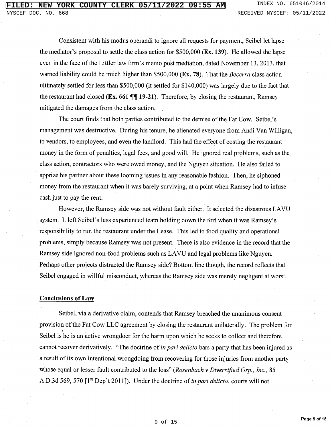Consistent with his modus operandi to ignore all requests for payment, Seibel let lapse the mediator's proposal to settle the class action for \$500,000 (Ex. 139). He allowed the lapse even in the face of the Littler law firm's memo post mediation, dated November 13, 2013, that warned liability could be much higher than \$500,000 ( $Ex. 78$ ). That the *Becerra* class action ultimately settled for less than \$500,000 (it settled for \$140,000) was largely due to the fact that the restaurant had closed ( $Ex.661$   $\P\P$  19-21). Therefore, by closing the restaurant, Ramsey mitigated the damages from the class action.

The court finds that both parties contributed to the demise of the Fat Cow. Seibel's management was destructive. During his tenure, he alienated everyone from Andi Van Willigan, to vendors, to employees, and even the landlord. This had the effect of costing the restaurant money in the form of penalties, legal fees, and good will. He ignored real problems, such as the class action, contractors who were owed money, and the Nguyen situation. He also failed to apprize his partner about these looming issues in any reasonable fashion. Then, he siphoned money from the restaurant when it was barely surviving, at a point when Ramsey had to infuse cash just to pay the rent.

However, the Ramsey side was not without fault either. It selected the disastrous LAVU system. It left Seibel's less experienced team holding down the fort when it was Ramsey's responsibility to run the restaurant under the Lease. This led to food quality and operational problems, simply because Ramsey was not present. There is also evidence in the record that the Ramsey side ignored non-food problems such as LAVU and legal problems like Nguyen. Perhaps other projects distracted the Ramsey side? Bottom line though, the record reflects that Seibel engaged in willful misconduct, whereas the Ramsey side was merely negligent at worst.

### **Conclusions of Law**

Seibel, via a derivative claim, contends that Ramsey breached the unanimous consent provision of the Fat Cow LLC agreement by closing the restaurant unilaterally. The problem for Seibel is he is an active wrongdoer for the harm upon which he seeks to collect and therefore cannot recover derivatively. "The doctrine of *in pari delicto* bars a party that has been injured as a result of its own intentional wrongdoing from recovering for those injuries from another party whose equal or lesser fault contributed to the loss" (Rosenbach v Diversified Grp., Inc., 85 A.D.3d 569, 570 [1<sup>st</sup> Dep't 2011]). Under the doctrine of *in pari delicto*, courts will not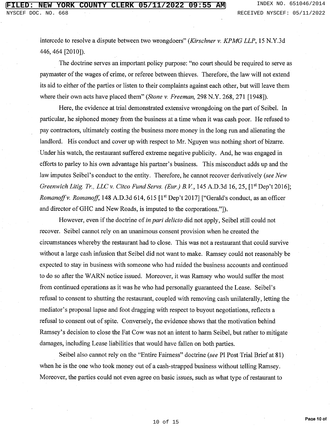intercede to resolve a dispute between two wrongdoers" (Kirschner v. KPMG LLP, 15 N.Y.3d) 446, 464 [2010]).

The doctrine serves an important policy purpose: "no court should be required to serve as paymaster of the wages of crime, or referee between thieves. Therefore, the law will not extend its aid to either of the parties or listen to their complaints against each other, but will leave them where their own acts have placed them" (Stone v. Freeman, 298 N.Y. 268, 271 [1948]).

Here, the evidence at trial demonstrated extensive wrongdoing on the part of Seibel. In particular, he siphoned money from the business at a time when it was cash poor. He refused to pay contractors, ultimately costing the business more money in the long run and alienating the landlord. His conduct and cover up with respect to Mr. Nguyen was nothing short of bizarre. Under his watch, the restaurant suffered extreme negative publicity. And, he was engaged in efforts to parley to his own advantage his partner's business. This misconduct adds up and the law imputes Seibel's conduct to the entity. Therefore, he cannot recover derivatively (see New Greenwich Litig. Tr., LLC v. Citco Fund Servs. (Eur.) B.V., 145 A.D.3d 16, 25, [1st Dep't 2016]; Romanoff v. Romanoff, 148 A.D.3d 614, 615 [1<sup>st</sup> Dep't 2017] ["Gerald's conduct, as an officer and director of GHC and New Roads, is imputed to the corporations."...

However, even if the doctrine of in pari delicto did not apply, Seibel still could not recover. Seibel cannot rely on an unanimous consent provision when he created the circumstances whereby the restaurant had to close. This was not a restaurant that could survive without a large cash infusion that Seibel did not want to make. Ramsey could not reasonably be expected to stay in business with someone who had raided the business accounts and continued to do so after the WARN notice issued. Moreover, it was Ramsey who would suffer the most from continued operations as it was he who had personally guaranteed the Lease. Seibel's refusal to consent to shutting the restaurant, coupled with removing cash unilaterally, letting the mediator's proposal lapse and foot dragging with respect to buyout negotiations, reflects a refusal to consent out of spite. Conversely, the evidence shows that the motivation behind Ramsey's decision to close the Fat Cow was not an intent to harm Seibel, but rather to mitigate damages, including Lease liabilities that would have fallen on both parties.

Seibel also cannot rely on the "Entire Fairness" doctrine (see Pl Post Trial Brief at 81) when he is the one who took money out of a cash-strapped business without telling Ramsey. Moreover, the parties could not even agree on basic issues, such as what type of restaurant to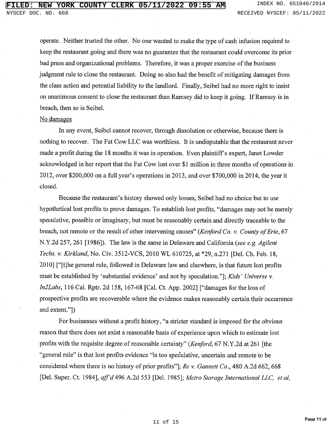operate. Neither trusted the other. No one wanted to make the type of cash infusion required to keep the restaurant going and there was no guarantee that the restaurant could overcome its prior bad press and organizational problems. Therefore, it was a proper exercise of the business judgment rule to close the restaurant. Doing so also had the benefit of mitigating damages from the class action and potential liability to the landlord. Finally, Seibel had no more right to insist on unanimous consent to close the restaurant than Ramsey did to keep it going. If Ramsey is in breach, then so is Seibel.

#### No damages

In any event, Seibel cannot recover, through dissolution or otherwise, because there is nothing to recover. The Fat Cow LLC was worthless. It is undisputable that the restaurant never made a profit during the 18 months it was in operation. Even plaintiff's expert, Janet Lowder acknowledged in her report that the Fat Cow lost over \$1 million in three months of operations in 2012, over \$200,000 on a full year's operations in 2013, and over \$700,000 in 2014, the year it closed.

Because the restaurant's history showed only losses, Seibel had no choice but to use hypothetical lost profits to prove damages. To establish lost profits, "damages may not be merely speculative, possible or imaginary, but must be reasonably certain and directly traceable to the breach, not remote or the result of other intervening causes" (Kenford Co. v. County of Erie, 67 N.Y.2d 257, 261 [1986]). The law is the same in Delaware and California (see e.g. Agilent Techs. v. Kirkland, No. Civ. 3512-VCS, 2010 WL 610725, at \*29, n.271 [Del. Ch. Feb. 18, 2010] ["[t]he general rule, followed in Delaware law and elsewhere, is that future lost profits must be established by 'substantial evidence' and not by speculation.", Kids' Universe v. In2Labs, 116 Cal. Rptr. 2d 158, 167-68 [Cal. Ct. App. 2002] ["damages for the loss of prospective profits are recoverable where the evidence makes reasonably certain their occurrence and extent."])

For businesses without a profit history, "a stricter standard is imposed for the obvious reason that there does not exist a reasonable basis of experience upon which to estimate lost profits with the requisite degree of reasonable certainty" (Kenford, 67 N.Y.2d at 261 [the "general rule" is that lost profits evidence "is too speculative, uncertain and remote to be considered where there is no history of prior profits"]; Re v. Gannett Co., 480 A.2d 662, 668 [Del. Super. Ct. 1984], aff'd 496 A.2d 553 [Del. 1985]; Metro Storage International LLC, et al,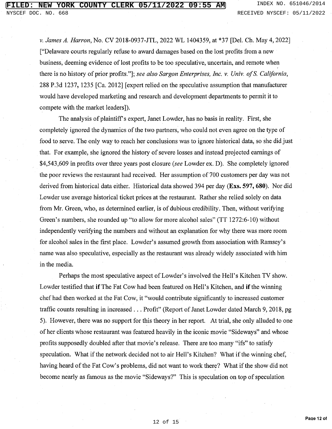v. James A. Harron, No. CV 2018-0937-JTL, 2022 WL 1404359, at \*37 [Del. Ch. May 4, 2022] ["Delaware courts regularly refuse to award damages based on the lost profits from a new business, deeming evidence of lost profits to be too speculative, uncertain, and remote when there is no history of prior profits."]; see also Sargon Enterprises, Inc. v. Univ. of S. California, 288 P.3d 1237, 1235 [Ca. 2012] [expert relied on the speculative assumption that manufacturer would have developed marketing and research and development departments to permit it to compete with the market leaders]).

The analysis of plaintiff's expert, Janet Lowder, has no basis in reality. First, she completely ignored the dynamics of the two partners, who could not even agree on the type of food to serve. The only way to reach her conclusions was to ignore historical data, so she did just that. For example, she ignored the history of severe losses and instead projected earnings of \$4,543,609 in profits over three years post closure (see Lowder ex. D). She completely ignored the poor reviews the restaurant had received. Her assumption of 700 customers per day was not derived from historical data either. Historical data showed 394 per day (Exs. 597, 680). Nor did Lowder use average historical ticket prices at the restaurant. Rather she relied solely on data from Mr. Green, who, as determined earlier, is of dubious credibility. Then, without verifying Green's numbers, she rounded up "to allow for more alcohol sales" (TT 1272:6-10) without independently verifying the numbers and without an explanation for why there was more room for alcohol sales in the first place. Lowder's assumed growth from association with Ramsey's name was also speculative, especially as the restaurant was already widely associated with him in the media.

Perhaps the most speculative aspect of Lowder's involved the Hell's Kitchen TV show. Lowder testified that if The Fat Cow had been featured on Hell's Kitchen, and if the winning chef had then worked at the Fat Cow, it "would contribute significantly to increased customer traffic counts resulting in increased . . . Profit" (Report of Janet Lowder dated March 9, 2018, pg 5). However, there was no support for this theory in her report. At trial, she only alluded to one of her clients whose restaurant was featured heavily in the iconic movie "Sideways" and whose profits supposedly doubled after that movie's release. There are too many "ifs" to satisfy speculation. What if the network decided not to air Hell's Kitchen? What if the winning chef, having heard of the Fat Cow's problems, did not want to work there? What if the show did not become nearly as famous as the movie "Sideways?" This is speculation on top of speculation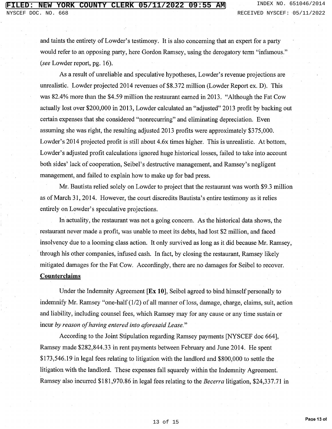and taints the entirety of Lowder's testimony. It is also concerning that an expert for a party would refer to an opposing party, here Gordon Ramsey, using the derogatory term "infamous." (see Lowder report, pg. 16).

As a result of unreliable and speculative hypotheses, Lowder's revenue projections are unrealistic. Lowder projected 2014 revenues of \$8.372 million (Lowder Report ex. D). This was 82.4% more than the \$4.59 million the restaurant earned in 2013. "Although the Fat Cow actually lost over \$200,000 in 2013, Lowder calculated an "adjusted" 2013 profit by backing out certain expenses that she considered "nonrecurring" and eliminating depreciation. Even assuming she was right, the resulting adjusted 2013 profits were approximately \$375,000. Lowder's 2014 projected profit is still about 4.6x times higher. This is unrealistic. At bottom, Lowder's adjusted profit calculations ignored huge historical losses, failed to take into account both sides' lack of cooperation, Seibel's destructive management, and Ramsey's negligent management, and failed to explain how to make up for bad press.

Mr. Bautista relied solely on Lowder to project that the restaurant was worth \$9.3 million as of March 31, 2014. However, the court discredits Bautista's entire testimony as it relies entirely on Lowder's speculative projections.

In actuality, the restaurant was not a going concern. As the historical data shows, the restaurant never made a profit, was unable to meet its debts, had lost \$2 million, and faced insolvency due to a looming class action. It only survived as long as it did because Mr. Ramsey, through his other companies, infused cash. In fact, by closing the restaurant, Ramsey likely mitigated damages for the Fat Cow. Accordingly, there are no damages for Seibel to recover. **Counterclaims** 

Under the Indemnity Agreement  $[Ex 10]$ , Seibel agreed to bind himself personally to indemnify Mr. Ramsey "one-half (1/2) of all manner of loss, damage, charge, claims, suit, action and liability, including counsel fees, which Ramsey may for any cause or any time sustain or incur by reason of having entered into aforesaid Lease."

According to the Joint Stipulation regarding Ramsey payments [NYSCEF doc 664], Ramsey made \$282,844.33 in rent payments between February and June 2014. He spent \$173,546.19 in legal fees relating to litigation with the landlord and \$800,000 to settle the litigation with the landlord. These expenses fall squarely within the Indemnity Agreement. Ramsey also incurred \$181,970.86 in legal fees relating to the *Becerra* litigation, \$24,337.71 in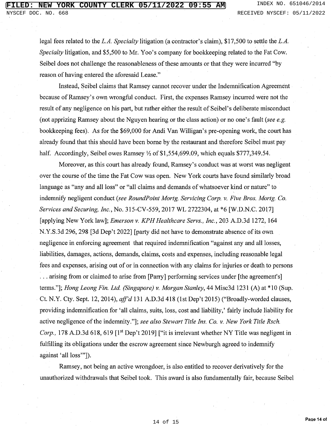legal fees related to the L.A. Specialty litigation (a contractor's claim), \$17,500 to settle the L.A. Specialty litigation, and \$5,500 to Mr. Yoo's company for bookkeeping related to the Fat Cow. Seibel does not challenge the reasonableness of these amounts or that they were incurred "by reason of having entered the aforesaid Lease."

Instead, Seibel claims that Ramsey cannot recover under the Indemnification Agreement because of Ramsey's own wrongful conduct. First, the expenses Ramsey incurred were not the result of any negligence on his part, but rather either the result of Seibel's deliberate misconduct (not apprizing Ramsey about the Nguyen hearing or the class action) or no one's fault (see e.g. bookkeeping fees). As for the \$69,000 for Andi Van Willigan's pre-opening work, the court has already found that this should have been borne by the restaurant and therefore Seibel must pay half. Accordingly, Seibel owes Ramsey  $\frac{1}{2}$  of \$1,554,699.09, which equals \$777,349.54.

Moreover, as this court has already found, Ramsey's conduct was at worst was negligent over the course of the time the Fat Cow was open. New York courts have found similarly broad language as "any and all loss" or "all claims and demands of whatsoever kind or nature" to indemnify negligent conduct (see RoundPoint Mortg. Servicing Corp. v. Five Bros. Mortg. Co. Services and Securing, Inc., No. 315-CV-559, 2017 WL 2722304, at \*6 [W.D.N.C. 2017] [applying New York law]; Emerson v. KPH Healthcare Servs., Inc., 203 A.D.3d 1272, 164 N.Y.S.3d 296, 298 [3d Dep't 2022] [party did not have to demonstrate absence of its own negligence in enforcing agreement that required indemnification "against any and all losses, liabilities, damages, actions, demands, claims, costs and expenses, including reasonable legal fees and expenses, arising out of or in connection with any claims for injuries or death to persons ... arising from or claimed to arise from [Parry] performing services under [the agreement's] terms."]; Hong Leong Fin. Ltd. (Singapore) v. Morgan Stanley, 44 Misc3d 1231 (A) at \*10 (Sup. Ct. N.Y. Cty. Sept. 12, 2014), aff'd 131 A.D.3d 418 (1st Dep't 2015) ("Broadly-worded clauses, providing indemnification for 'all claims, suits, loss, cost and liability,' fairly include liability for active negligence of the indemnity."]; see also Stewart Title Ins. Co. v. New York Title Rsch. Corp., 178 A.D.3d 618, 619 [1<sup>st</sup> Dep't 2019] ["it is irrelevant whether NY Title was negligent in fulfilling its obligations under the escrow agreement since Newburgh agreed to indemnify against 'all loss'"]).

Ramsey, not being an active wrongdoer, is also entitled to recover derivatively for the unauthorized withdrawals that Seibel took. This award is also fundamentally fair, because Seibel